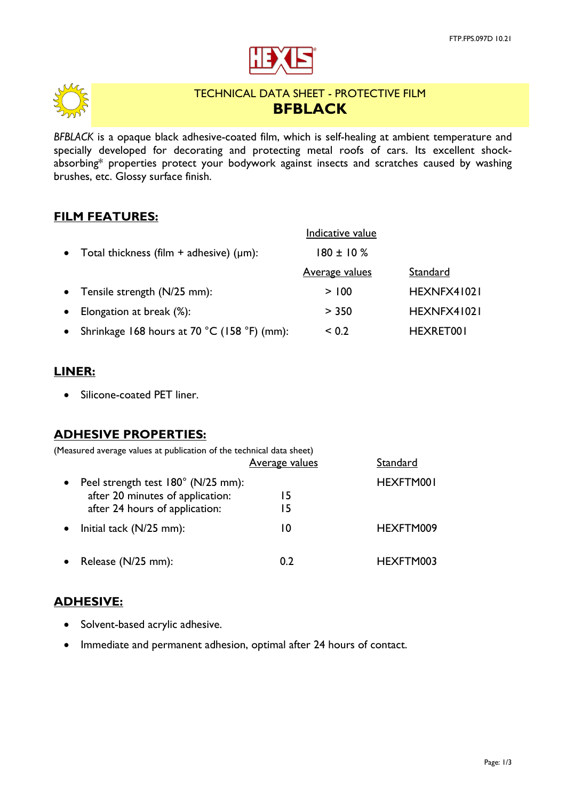



# TECHNICAL DATA SHEET - PROTECTIVE FILM **BFBLACK**

*BFBLACK* is a opaque black adhesive-coated film, which is self-healing at ambient temperature and specially developed for decorating and protecting metal roofs of cars. Its excellent shockabsorbing\* properties protect your bodywork against insects and scratches caused by washing brushes, etc. Glossy surface finish.

### **FILM FEATURES:**

|                                                 | Indicative value      |             |
|-------------------------------------------------|-----------------------|-------------|
| Total thickness (film $+$ adhesive) ( $\mu$ m): | $180 \pm 10 \%$       |             |
|                                                 | <b>Average values</b> | Standard    |
| Tensile strength (N/25 mm):                     | > 100                 | HEXNFX41021 |
| Elongation at break (%):                        | > 350                 | HEXNFX41021 |
| Shrinkage 168 hours at 70 °C (158 °F) (mm):     | ${}_{0.2}$            | HEXRET001   |

### **LINER:**

• Silicone-coated PET liner.

## **ADHESIVE PROPERTIES:**

| (Measured average values at publication of the technical data sheet) |                |           |
|----------------------------------------------------------------------|----------------|-----------|
|                                                                      | Average values | Standard  |
| Peel strength test 180° (N/25 mm):                                   |                | HEXFTM001 |
| after 20 minutes of application:                                     | 15             |           |
| after 24 hours of application:                                       | 15             |           |
| Initial tack (N/25 mm):                                              | 10             | HEXFTM009 |
| Release (N/25 mm):                                                   | 0.2            | HEXFTM003 |

## **ADHESIVE:**

- Solvent-based acrylic adhesive.
- Immediate and permanent adhesion, optimal after 24 hours of contact.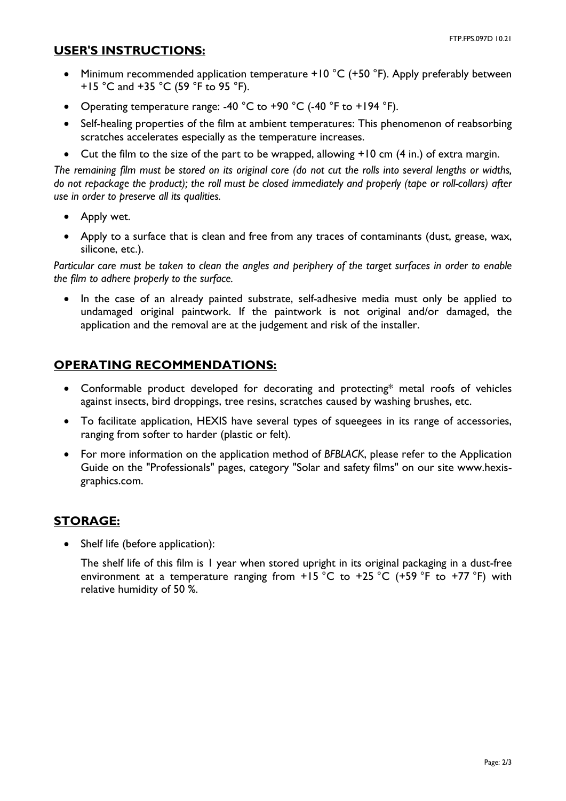#### **USER'S INSTRUCTIONS:**

- Minimum recommended application temperature  $+10\degree C$  (+50  $\degree F$ ). Apply preferably between +15 °C and +35 °C (59 °F to 95 °F).
- Operating temperature range: -40  $^{\circ}$ C to +90  $^{\circ}$ C (-40  $^{\circ}$ F to +194  $^{\circ}$ F).
- Self-healing properties of the film at ambient temperatures: This phenomenon of reabsorbing scratches accelerates especially as the temperature increases.
- Cut the film to the size of the part to be wrapped, allowing +10 cm (4 in.) of extra margin.

*The remaining film must be stored on its original core (do not cut the rolls into several lengths or widths, do not repackage the product); the roll must be closed immediately and properly (tape or roll-collars) after use in order to preserve all its qualities.*

- Apply wet.
- Apply to a surface that is clean and free from any traces of contaminants (dust, grease, wax, silicone, etc.).

*Particular care must be taken to clean the angles and periphery of the target surfaces in order to enable the film to adhere properly to the surface.*

• In the case of an already painted substrate, self-adhesive media must only be applied to undamaged original paintwork. If the paintwork is not original and/or damaged, the application and the removal are at the judgement and risk of the installer.

# **OPERATING RECOMMENDATIONS:**

- Conformable product developed for decorating and protecting\* metal roofs of vehicles against insects, bird droppings, tree resins, scratches caused by washing brushes, etc.
- To facilitate application, HEXIS have several types of squeegees in its range of accessories, ranging from softer to harder (plastic or felt).
- For more information on the application method of *BFBLACK*, please refer to the Application Guide on the "Professionals" pages, category "Solar and safety films" on our site www.hexisgraphics.com.

# **STORAGE:**

Shelf life (before application):

The shelf life of this film is 1 year when stored upright in its original packaging in a dust-free environment at a temperature ranging from  $+15$  °C to  $+25$  °C (+59 °F to  $+77$  °F) with relative humidity of 50 %.